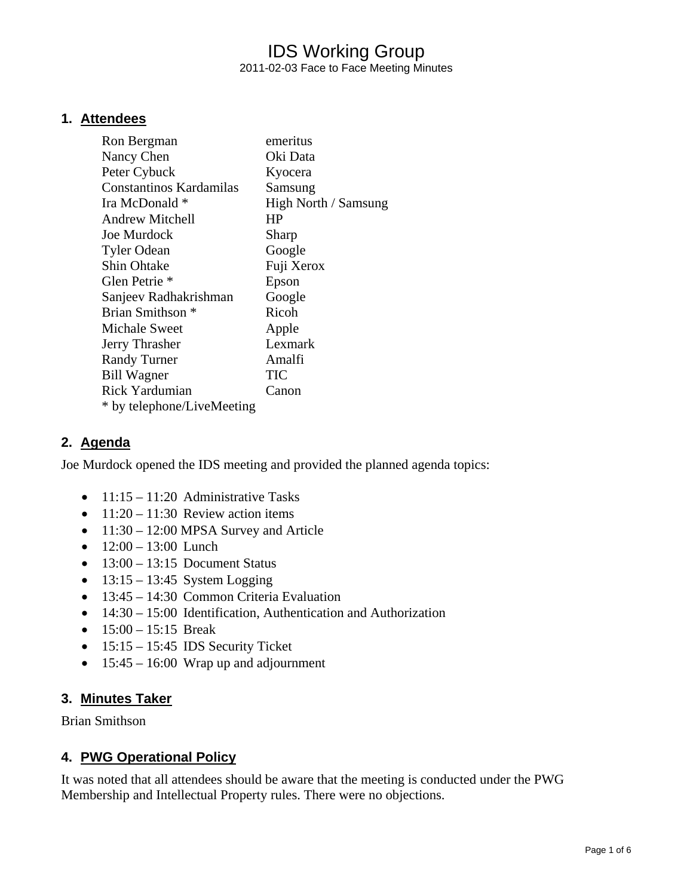## IDS Working Group 2011-02-03 Face to Face Meeting Minutes

#### **1. Attendees**

| emeritus             |
|----------------------|
| Oki Data             |
| Kyocera              |
| Samsung              |
| High North / Samsung |
| HP                   |
| Sharp                |
| Google               |
| Fuji Xerox           |
| Epson                |
| Google               |
| Ricoh                |
| Apple                |
| Lexmark              |
| Amalfi               |
| TIC                  |
| Canon                |
|                      |
|                      |

#### **2. Agenda**

Joe Murdock opened the IDS meeting and provided the planned agenda topics:

- $11:15 11:20$  Administrative Tasks
- $11:20 11:30$  Review action items
- 11:30 12:00 MPSA Survey and Article
- $12:00 13:00$  Lunch
- $\bullet$  13:00 13:15 Document Status
- $13:15 13:45$  System Logging
- 13:45 14:30 Common Criteria Evaluation
- 14:30 15:00 Identification, Authentication and Authorization
- $15:00 15:15$  Break
- $15:15 15:45$  IDS Security Ticket
- $\bullet$  15:45 16:00 Wrap up and adjournment

#### **3. Minutes Taker**

Brian Smithson

#### **4. PWG Operational Policy**

It was noted that all attendees should be aware that the meeting is conducted under the PWG Membership and Intellectual Property rules. There were no objections.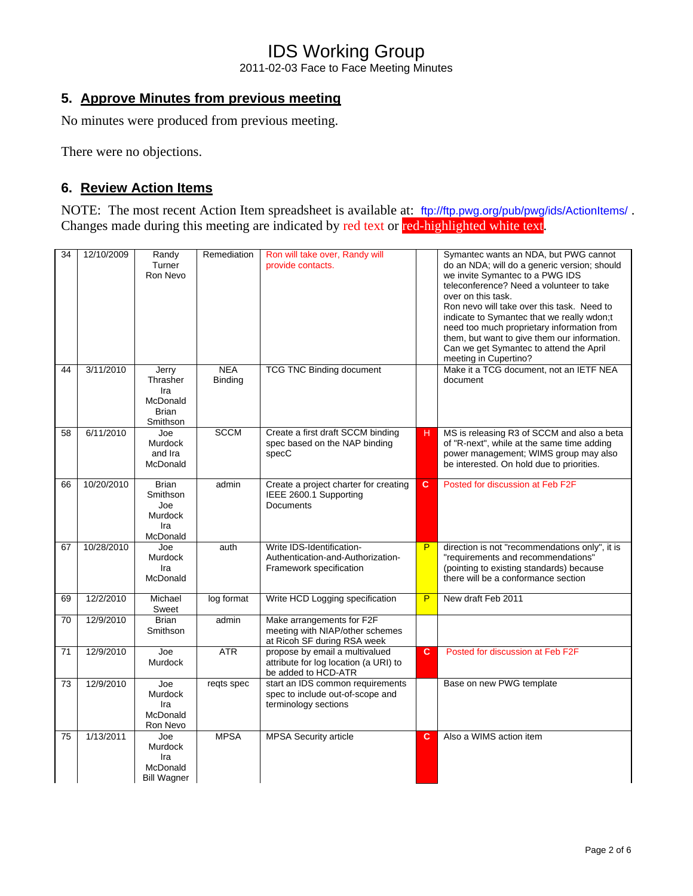2011-02-03 Face to Face Meeting Minutes

## **5. Approve Minutes from previous meeting**

No minutes were produced from previous meeting.

There were no objections.

## **6. Review Action Items**

NOTE: The most recent Action Item spreadsheet is available at: <ftp://ftp.pwg.org/pub/pwg/ids/ActionItems/> . Changes made during this meeting are indicated by red text or red-highlighted white text.

| 34 | 12/10/2009 | Randy<br>Turner<br>Ron Nevo                                      | Remediation                  | Ron will take over, Randy will<br>provide contacts.                                            |                | Symantec wants an NDA, but PWG cannot<br>do an NDA; will do a generic version; should<br>we invite Symantec to a PWG IDS<br>teleconference? Need a volunteer to take<br>over on this task.<br>Ron nevo will take over this task. Need to<br>indicate to Symantec that we really wdon;t<br>need too much proprietary information from<br>them, but want to give them our information.<br>Can we get Symantec to attend the April<br>meeting in Cupertino? |
|----|------------|------------------------------------------------------------------|------------------------------|------------------------------------------------------------------------------------------------|----------------|----------------------------------------------------------------------------------------------------------------------------------------------------------------------------------------------------------------------------------------------------------------------------------------------------------------------------------------------------------------------------------------------------------------------------------------------------------|
| 44 | 3/11/2010  | Jerry<br>Thrasher<br>Ira<br>McDonald<br><b>Brian</b><br>Smithson | <b>NEA</b><br><b>Binding</b> | <b>TCG TNC Binding document</b>                                                                |                | Make it a TCG document, not an IETF NEA<br>document                                                                                                                                                                                                                                                                                                                                                                                                      |
| 58 | 6/11/2010  | Joe<br><b>Murdock</b><br>and Ira<br>McDonald                     | <b>SCCM</b>                  | Create a first draft SCCM binding<br>spec based on the NAP binding<br>specC                    | н              | MS is releasing R3 of SCCM and also a beta<br>of "R-next", while at the same time adding<br>power management; WIMS group may also<br>be interested. On hold due to priorities.                                                                                                                                                                                                                                                                           |
| 66 | 10/20/2010 | <b>Brian</b><br>Smithson<br>Joe<br>Murdock<br>Ira<br>McDonald    | admin                        | Create a project charter for creating<br>IEEE 2600.1 Supporting<br><b>Documents</b>            | $\overline{c}$ | Posted for discussion at Feb F2F                                                                                                                                                                                                                                                                                                                                                                                                                         |
| 67 | 10/28/2010 | Joe<br><b>Murdock</b><br>Ira<br>McDonald                         | auth                         | Write IDS-Identification-<br>Authentication-and-Authorization-<br>Framework specification      | P              | direction is not "recommendations only", it is<br>"requirements and recommendations"<br>(pointing to existing standards) because<br>there will be a conformance section                                                                                                                                                                                                                                                                                  |
| 69 | 12/2/2010  | Michael<br>Sweet                                                 | log format                   | Write HCD Logging specification                                                                | P              | New draft Feb 2011                                                                                                                                                                                                                                                                                                                                                                                                                                       |
| 70 | 12/9/2010  | <b>Brian</b><br>Smithson                                         | admin                        | Make arrangements for F2F<br>meeting with NIAP/other schemes<br>at Ricoh SF during RSA week    |                |                                                                                                                                                                                                                                                                                                                                                                                                                                                          |
| 71 | 12/9/2010  | Joe<br><b>Murdock</b>                                            | <b>ATR</b>                   | propose by email a multivalued<br>attribute for log location (a URI) to<br>be added to HCD-ATR | $\mathbf{C}$   | Posted for discussion at Feb F2F                                                                                                                                                                                                                                                                                                                                                                                                                         |
| 73 | 12/9/2010  | Joe<br><b>Murdock</b><br>Ira<br>McDonald<br>Ron Nevo             | regts spec                   | start an IDS common requirements<br>spec to include out-of-scope and<br>terminology sections   |                | Base on new PWG template                                                                                                                                                                                                                                                                                                                                                                                                                                 |
| 75 | 1/13/2011  | Joe<br><b>Murdock</b><br>Ira<br>McDonald<br><b>Bill Wagner</b>   | <b>MPSA</b>                  | <b>MPSA Security article</b>                                                                   | c              | Also a WIMS action item                                                                                                                                                                                                                                                                                                                                                                                                                                  |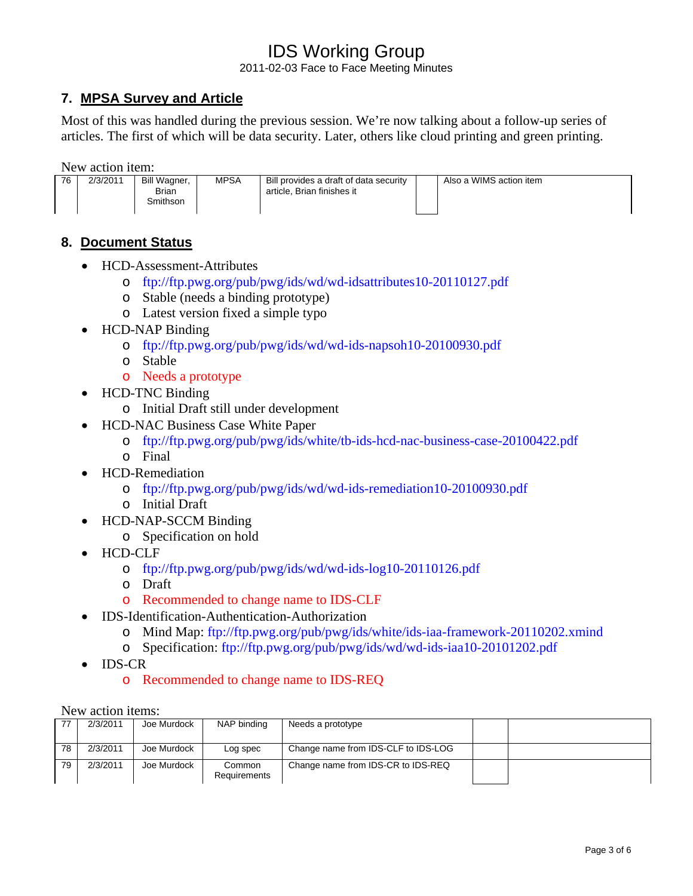2011-02-03 Face to Face Meeting Minutes

## **7. MPSA Survey and Article**

Most of this was handled during the previous session. We're now talking about a follow-up series of articles. The first of which will be data security. Later, others like cloud printing and green printing.

New action item:

| 76 | 2/3/2011 | Bill Wagner, | <b>MPSA</b> | Bill provides a draft of data security | Also a WIMS action item |
|----|----------|--------------|-------------|----------------------------------------|-------------------------|
|    |          | Brian        |             | article. Brian finishes it             |                         |
|    |          | Smithson     |             |                                        |                         |
|    |          |              |             |                                        |                         |

## **8. Document Status**

- HCD-Assessment-Attributes
	- o <ftp://ftp.pwg.org/pub/pwg/ids/wd/wd-idsattributes10-20110127.pdf>
	- o Stable (needs a binding prototype)
	- o Latest version fixed a simple typo
- HCD-NAP Binding
	- o <ftp://ftp.pwg.org/pub/pwg/ids/wd/wd-ids-napsoh10-20100930.pdf>
	- o Stable
	- o Needs a prototype
- HCD-TNC Binding
	- o Initial Draft still under development
- HCD-NAC Business Case White Paper
	- o <ftp://ftp.pwg.org/pub/pwg/ids/white/tb-ids-hcd-nac-business-case-20100422.pdf>
	- o Final
- HCD-Remediation
	- o <ftp://ftp.pwg.org/pub/pwg/ids/wd/wd-ids-remediation10-20100930.pdf>
	- o Initial Draft
- HCD-NAP-SCCM Binding
	- o Specification on hold
- HCD-CLF
	- o <ftp://ftp.pwg.org/pub/pwg/ids/wd/wd-ids-log10-20110126.pdf>
	- o Draft
	- o Recommended to change name to IDS-CLF
- IDS-Identification-Authentication-Authorization
	- o Mind Map:<ftp://ftp.pwg.org/pub/pwg/ids/white/ids-iaa-framework-20110202.xmind>
	- o Specification: <ftp://ftp.pwg.org/pub/pwg/ids/wd/wd-ids-iaa10-20101202.pdf>
- IDS-CR
	- o Recommended to change name to IDS-REQ

New action items:

|    | 2/3/2011 | Joe Murdock | NAP binding            | Needs a prototype                   |  |
|----|----------|-------------|------------------------|-------------------------------------|--|
| 78 | 2/3/2011 | Joe Murdock | Log spec               | Change name from IDS-CLF to IDS-LOG |  |
| 79 | 2/3/2011 | Joe Murdock | Common<br>Requirements | Change name from IDS-CR to IDS-REQ  |  |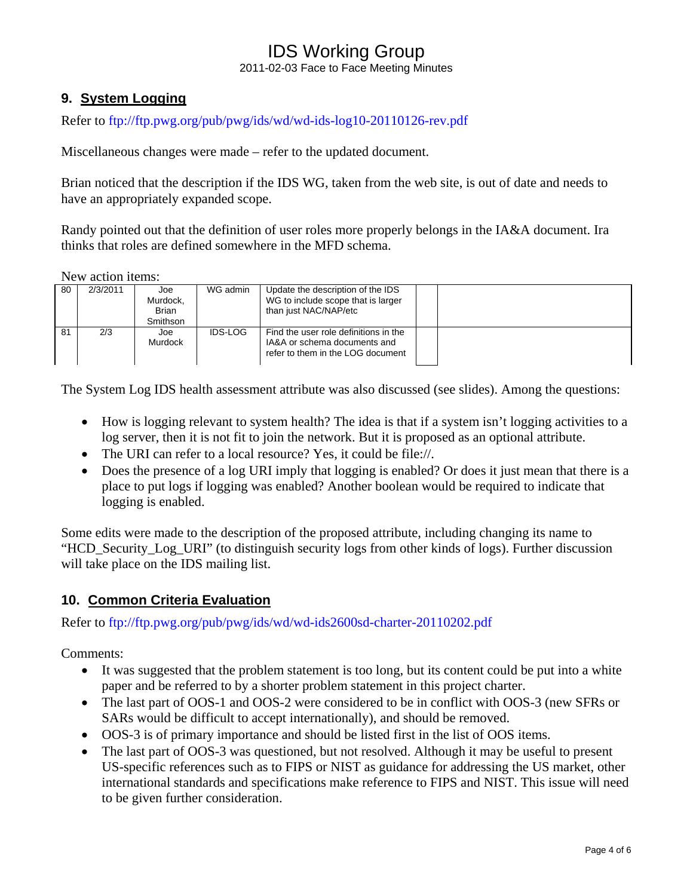2011-02-03 Face to Face Meeting Minutes

## **9. System Logging**

Refer to<ftp://ftp.pwg.org/pub/pwg/ids/wd/wd-ids-log10-20110126-rev.pdf>

Miscellaneous changes were made – refer to the updated document.

Brian noticed that the description if the IDS WG, taken from the web site, is out of date and needs to have an appropriately expanded scope.

Randy pointed out that the definition of user roles more properly belongs in the IA&A document. Ira thinks that roles are defined somewhere in the MFD schema.

New action items:

| 80 | 2/3/2011 | Joe<br>Murdock.<br><b>Brian</b><br><b>Smithson</b> | WG admin       | Update the description of the IDS<br>WG to include scope that is larger<br>than just NAC/NAP/etc           |  |
|----|----------|----------------------------------------------------|----------------|------------------------------------------------------------------------------------------------------------|--|
| 81 | 2/3      | Joe<br>Murdock                                     | <b>IDS-LOG</b> | Find the user role definitions in the<br>IA&A or schema documents and<br>refer to them in the LOG document |  |

The System Log IDS health assessment attribute was also discussed (see slides). Among the questions:

- How is logging relevant to system health? The idea is that if a system isn't logging activities to a log server, then it is not fit to join the network. But it is proposed as an optional attribute.
- The URI can refer to a local resource? Yes, it could be file://.
- Does the presence of a log URI imply that logging is enabled? Or does it just mean that there is a place to put logs if logging was enabled? Another boolean would be required to indicate that logging is enabled.

Some edits were made to the description of the proposed attribute, including changing its name to "HCD\_Security\_Log\_URI" (to distinguish security logs from other kinds of logs). Further discussion will take place on the IDS mailing list.

### **10. Common Criteria Evaluation**

Refer to<ftp://ftp.pwg.org/pub/pwg/ids/wd/wd-ids2600sd-charter-20110202.pdf>

Comments:

- It was suggested that the problem statement is too long, but its content could be put into a white paper and be referred to by a shorter problem statement in this project charter.
- The last part of OOS-1 and OOS-2 were considered to be in conflict with OOS-3 (new SFRs or SARs would be difficult to accept internationally), and should be removed.
- OOS-3 is of primary importance and should be listed first in the list of OOS items.
- The last part of OOS-3 was questioned, but not resolved. Although it may be useful to present US-specific references such as to FIPS or NIST as guidance for addressing the US market, other international standards and specifications make reference to FIPS and NIST. This issue will need to be given further consideration.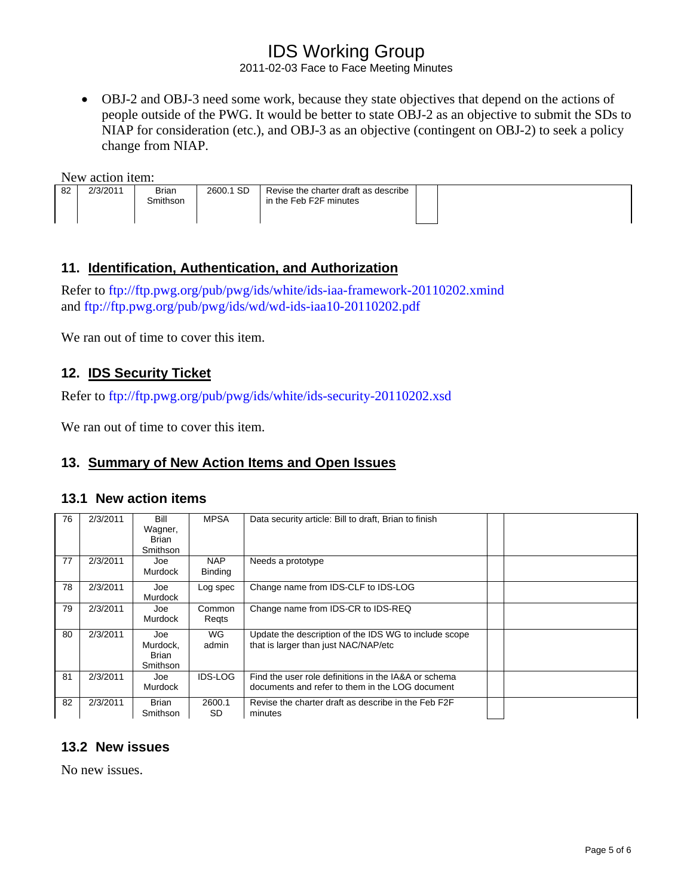2011-02-03 Face to Face Meeting Minutes

• OBJ-2 and OBJ-3 need some work, because they state objectives that depend on the actions of people outside of the PWG. It would be better to state OBJ-2 as an objective to submit the SDs to NIAP for consideration (etc.), and OBJ-3 as an objective (contingent on OBJ-2) to seek a policy change from NIAP.

New action item:

| 82<br>2/3/2011 | <b>Brian</b><br>3mithson | 2600.1 SD | Revise the charter draft as describe<br>in the Feb F2F minutes |  |
|----------------|--------------------------|-----------|----------------------------------------------------------------|--|
|                |                          |           |                                                                |  |

### **11. Identification, Authentication, and Authorization**

Refer to<ftp://ftp.pwg.org/pub/pwg/ids/white/ids-iaa-framework-20110202.xmind> and<ftp://ftp.pwg.org/pub/pwg/ids/wd/wd-ids-iaa10-20110202.pdf>

We ran out of time to cover this item.

## **12. IDS Security Ticket**

Refer to<ftp://ftp.pwg.org/pub/pwg/ids/white/ids-security-20110202.xsd>

We ran out of time to cover this item.

### **13. Summary of New Action Items and Open Issues**

#### **13.1 New action items**

| 76 | 2/3/2011 | Bill<br>Wagner,<br>Brian<br><b>Smithson</b> | <b>MPSA</b>                  | Data security article: Bill to draft, Brian to finish                                                   |  |
|----|----------|---------------------------------------------|------------------------------|---------------------------------------------------------------------------------------------------------|--|
| 77 | 2/3/2011 | Joe<br><b>Murdock</b>                       | <b>NAP</b><br><b>Binding</b> | Needs a prototype                                                                                       |  |
| 78 | 2/3/2011 | Joe<br><b>Murdock</b>                       | Log spec                     | Change name from IDS-CLF to IDS-LOG                                                                     |  |
| 79 | 2/3/2011 | Joe<br><b>Murdock</b>                       | Common<br>Regts              | Change name from IDS-CR to IDS-REQ                                                                      |  |
| 80 | 2/3/2011 | Joe<br>Murdock.<br>Brian<br><b>Smithson</b> | <b>WG</b><br>admin           | Update the description of the IDS WG to include scope<br>that is larger than just NAC/NAP/etc           |  |
| 81 | 2/3/2011 | Joe<br>Murdock                              | <b>IDS-LOG</b>               | Find the user role definitions in the IA&A or schema<br>documents and refer to them in the LOG document |  |
| 82 | 2/3/2011 | <b>Brian</b><br><b>Smithson</b>             | 2600.1<br><b>SD</b>          | Revise the charter draft as describe in the Feb F2F<br>minutes                                          |  |

### **13.2 New issues**

No new issues.